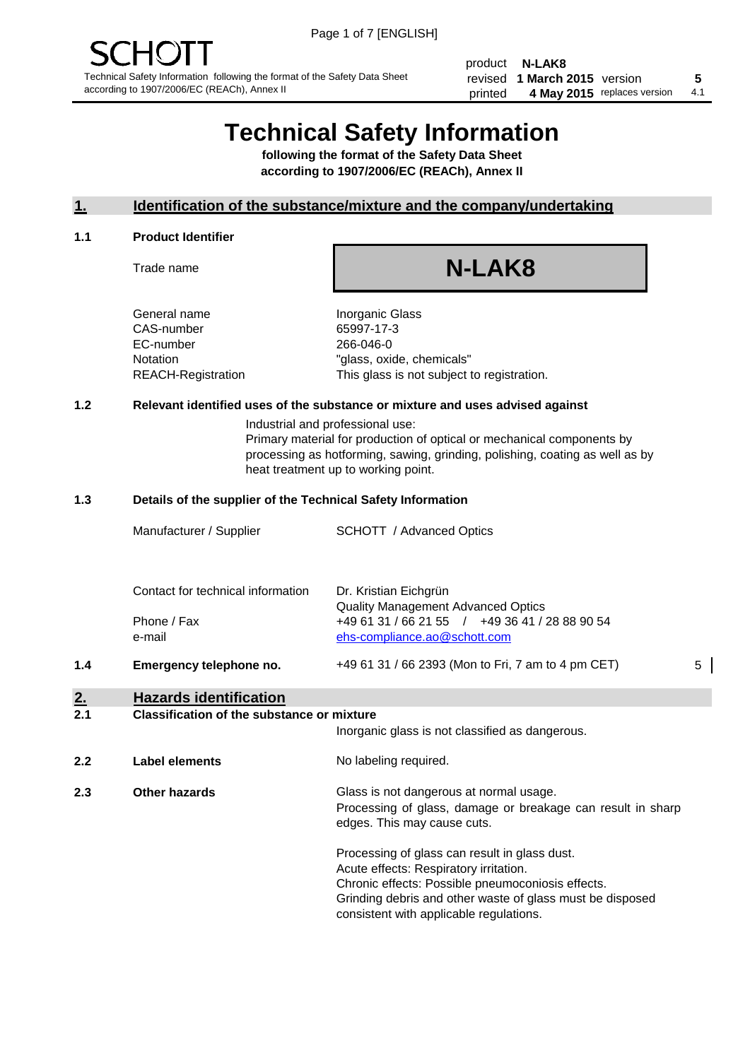product **N-LAK8** revised **5 1 March 2015** version printed 4 May 2015 replaces version 4.1

# **Technical Safety Information**

**following the format of the Safety Data Sheet according to 1907/2006/EC (REACh), Annex II**

#### **1. Identification of the substance/mixture and the company/undertaking**

#### **1.1 Product Identifier**

Trade name

# **N-LAK8**

General name **Inorganic Glass** CAS-number 65997-17-3 EC-number 266-046-0

Notation "glass, oxide, chemicals" REACH-Registration This glass is not subject to registration.

#### **1.2 Relevant identified uses of the substance or mixture and uses advised against**

Industrial and professional use: Primary material for production of optical or mechanical components by processing as hotforming, sawing, grinding, polishing, coating as well as by heat treatment up to working point.

#### **1.3 Details of the supplier of the Technical Safety Information**

|        | Manufacturer / Supplier           | SCHOTT / Advanced Optics                                                       |   |
|--------|-----------------------------------|--------------------------------------------------------------------------------|---|
|        | Contact for technical information | Dr. Kristian Eichgrün<br><b>Quality Management Advanced Optics</b>             |   |
|        | Phone / Fax<br>e-mail             | +49 61 31 / 66 21 55 / +49 36 41 / 28 88 90 54<br>ehs-compliance.ao@schott.com |   |
| 1.4    | Emergency telephone no.           | +49 61 31 / 66 2393 (Mon to Fri, 7 am to 4 pm CET)                             | 5 |
| $\sim$ |                                   |                                                                                |   |

#### **2. Hazards identification 2.1 Classification of the substance or mixture**

| <u>.</u> | Classincation of the substance of imature | Inorganic glass is not classified as dangerous.                                                                                                                                                                                                      |
|----------|-------------------------------------------|------------------------------------------------------------------------------------------------------------------------------------------------------------------------------------------------------------------------------------------------------|
| 2.2      | Label elements                            | No labeling required.                                                                                                                                                                                                                                |
| 2.3      | Other hazards                             | Glass is not dangerous at normal usage.<br>Processing of glass, damage or breakage can result in sharp<br>edges. This may cause cuts.                                                                                                                |
|          |                                           | Processing of glass can result in glass dust.<br>Acute effects: Respiratory irritation.<br>Chronic effects: Possible pneumoconiosis effects.<br>Grinding debris and other waste of glass must be disposed<br>consistent with applicable regulations. |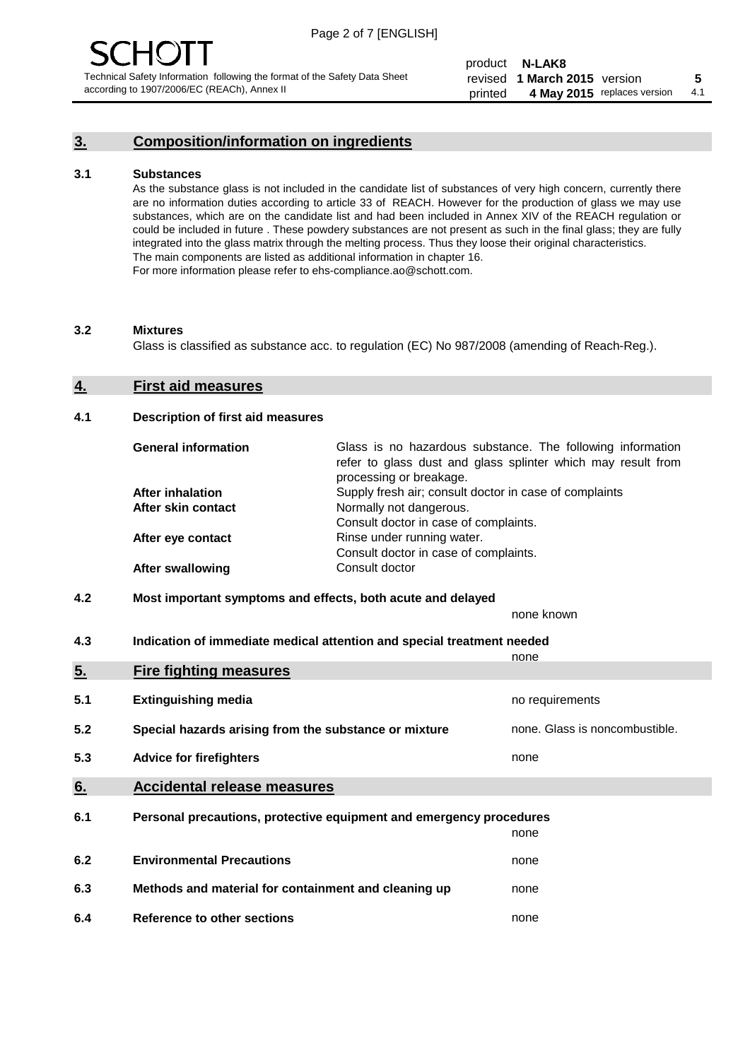### **3. Composition/information on ingredients**

#### **3.1 Substances**

As the substance glass is not included in the candidate list of substances of very high concern, currently there are no information duties according to article 33 of REACH. However for the production of glass we may use substances, which are on the candidate list and had been included in Annex XIV of the REACH regulation or could be included in future . These powdery substances are not present as such in the final glass; they are fully integrated into the glass matrix through the melting process. Thus they loose their original characteristics. The main components are listed as additional information in chapter 16. For more information please refer to ehs-compliance.ao@schott.com.

#### **3.2 Mixtures**

Glass is classified as substance acc. to regulation (EC) No 987/2008 (amending of Reach-Reg.).

#### **4. First aid measures**

#### **4.1 Description of first aid measures**

| <b>General information</b> | Glass is no hazardous substance. The following information<br>refer to glass dust and glass splinter which may result from<br>processing or breakage. |
|----------------------------|-------------------------------------------------------------------------------------------------------------------------------------------------------|
| <b>After inhalation</b>    | Supply fresh air; consult doctor in case of complaints                                                                                                |
| After skin contact         | Normally not dangerous.                                                                                                                               |
|                            | Consult doctor in case of complaints.                                                                                                                 |
| After eye contact          | Rinse under running water.                                                                                                                            |
|                            | Consult doctor in case of complaints.                                                                                                                 |
| <b>After swallowing</b>    | Consult doctor                                                                                                                                        |

#### **4.2 Most important symptoms and effects, both acute and delayed**

none known

**4.3 Indication of immediate medical attention and special treatment needed** 

|     |                                                                     | none                           |
|-----|---------------------------------------------------------------------|--------------------------------|
| 5.  | <b>Fire fighting measures</b>                                       |                                |
| 5.1 | <b>Extinguishing media</b>                                          | no requirements                |
| 5.2 | Special hazards arising from the substance or mixture               | none. Glass is noncombustible. |
| 5.3 | <b>Advice for firefighters</b>                                      | none                           |
| 6.  | <b>Accidental release measures</b>                                  |                                |
| 6.1 | Personal precautions, protective equipment and emergency procedures |                                |
|     |                                                                     | none                           |
| 6.2 | <b>Environmental Precautions</b>                                    | none                           |
| 6.3 | Methods and material for containment and cleaning up                | none                           |
| 6.4 | Reference to other sections                                         | none                           |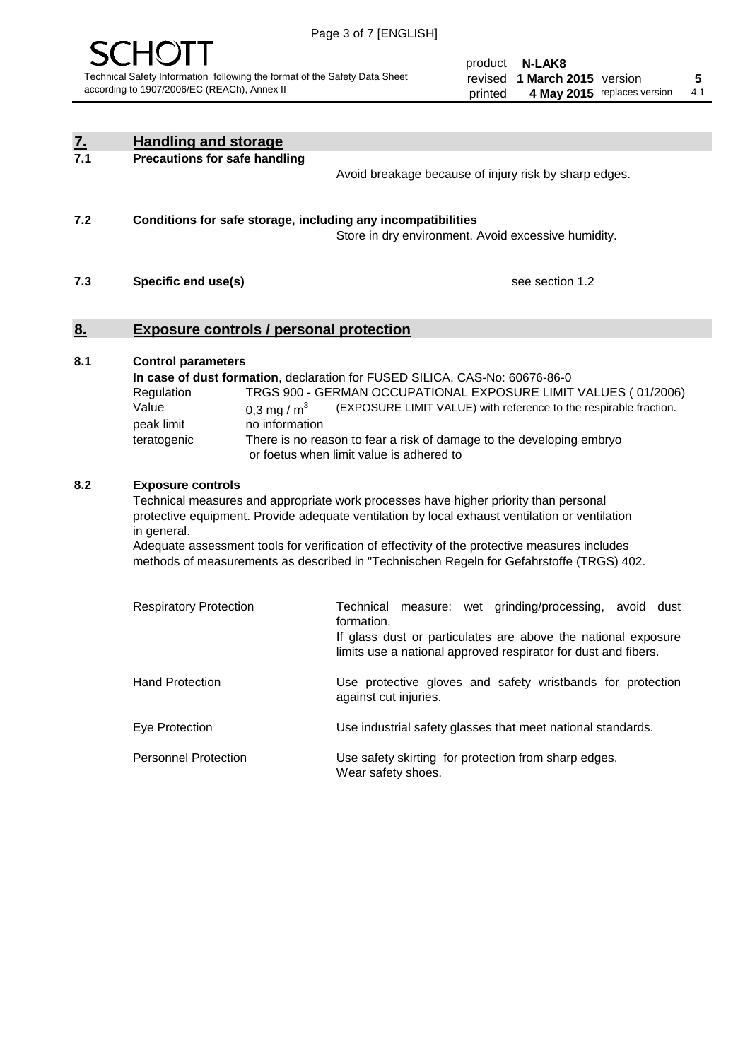

product **N-LAK8** revised **5 1 March 2015** version printed 4 May 2015 replaces version 4.1

| <u>7.</u> | <b>Handling and storage</b>                                                                                      |                                                                                                                                                                                                                                                                                                                                                                                     |
|-----------|------------------------------------------------------------------------------------------------------------------|-------------------------------------------------------------------------------------------------------------------------------------------------------------------------------------------------------------------------------------------------------------------------------------------------------------------------------------------------------------------------------------|
| 7.1       | <b>Precautions for safe handling</b>                                                                             | Avoid breakage because of injury risk by sharp edges.                                                                                                                                                                                                                                                                                                                               |
| 7.2       | Conditions for safe storage, including any incompatibilities                                                     | Store in dry environment. Avoid excessive humidity.                                                                                                                                                                                                                                                                                                                                 |
| 7.3       | Specific end use(s)                                                                                              | see section 1.2                                                                                                                                                                                                                                                                                                                                                                     |
| <u>8.</u> | <b>Exposure controls / personal protection</b>                                                                   |                                                                                                                                                                                                                                                                                                                                                                                     |
| 8.1       | <b>Control parameters</b><br>Regulation<br>Value<br>0.3 mg / $m3$<br>peak limit<br>no information<br>teratogenic | In case of dust formation, declaration for FUSED SILICA, CAS-No: 60676-86-0<br>TRGS 900 - GERMAN OCCUPATIONAL EXPOSURE LIMIT VALUES (01/2006)<br>(EXPOSURE LIMIT VALUE) with reference to the respirable fraction.<br>There is no reason to fear a risk of damage to the developing embryo<br>or foetus when limit value is adhered to                                              |
| 8.2       | <b>Exposure controls</b><br>in general.                                                                          | Technical measures and appropriate work processes have higher priority than personal<br>protective equipment. Provide adequate ventilation by local exhaust ventilation or ventilation<br>Adequate assessment tools for verification of effectivity of the protective measures includes<br>methods of measurements as described in "Technischen Regeln for Gefahrstoffe (TRGS) 402. |
|           | <b>Respiratory Protection</b>                                                                                    | Technical measure: wet grinding/processing, avoid dust<br>formation.<br>If glass dust or particulates are above the national exposure<br>limits use a national approved respirator for dust and fibers.                                                                                                                                                                             |
|           | <b>Hand Protection</b>                                                                                           | Use protective gloves and safety wristbands for protection<br>against cut injuries.                                                                                                                                                                                                                                                                                                 |
|           | Eye Protection                                                                                                   | Use industrial safety glasses that meet national standards.                                                                                                                                                                                                                                                                                                                         |
|           | <b>Personnel Protection</b>                                                                                      | Use safety skirting for protection from sharp edges.<br>Wear safety shoes.                                                                                                                                                                                                                                                                                                          |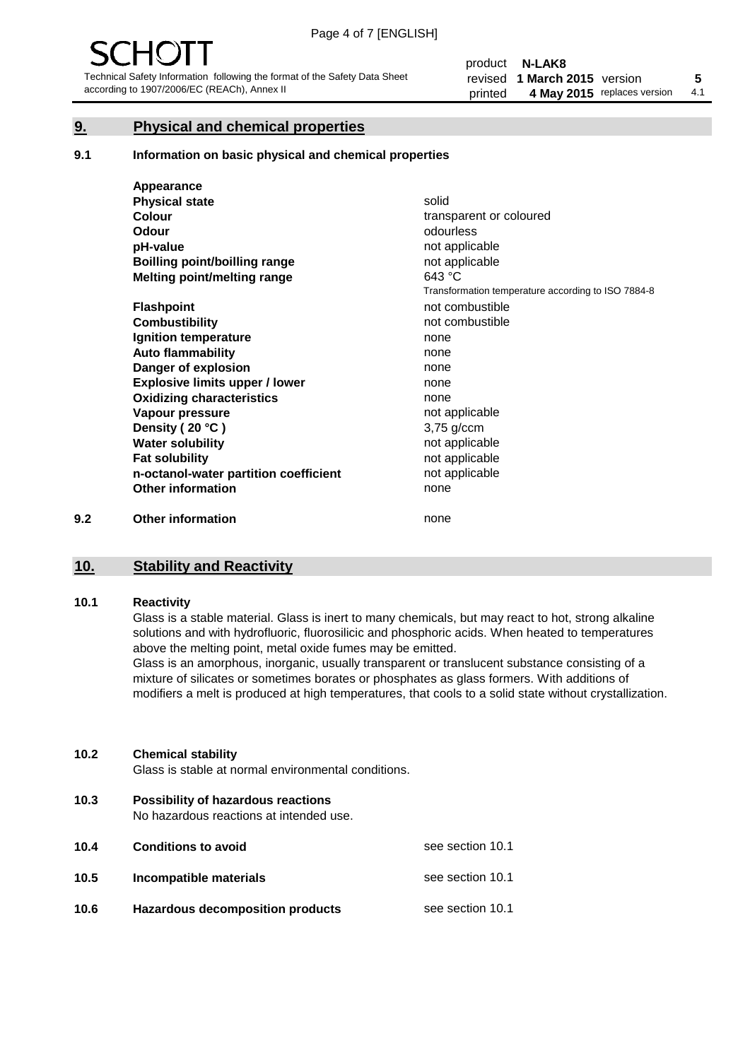#### **9. Physical and chemical properties**

#### **9.1 Information on basic physical and chemical properties**

|     | Appearance                            |                                                    |
|-----|---------------------------------------|----------------------------------------------------|
|     | <b>Physical state</b>                 | solid                                              |
|     | <b>Colour</b>                         | transparent or coloured                            |
|     | Odour                                 | odourless                                          |
|     | pH-value                              | not applicable                                     |
|     | Boilling point/boilling range         | not applicable                                     |
|     | Melting point/melting range           | 643 °C                                             |
|     |                                       | Transformation temperature according to ISO 7884-8 |
|     | <b>Flashpoint</b>                     | not combustible                                    |
|     | <b>Combustibility</b>                 | not combustible                                    |
|     | Ignition temperature                  | none                                               |
|     | <b>Auto flammability</b>              | none                                               |
|     | Danger of explosion                   | none                                               |
|     | <b>Explosive limits upper / lower</b> | none                                               |
|     | <b>Oxidizing characteristics</b>      | none                                               |
|     | Vapour pressure                       | not applicable                                     |
|     | Density (20 °C)                       | $3,75$ g/ccm                                       |
|     | <b>Water solubility</b>               | not applicable                                     |
|     | <b>Fat solubility</b>                 | not applicable                                     |
|     | n-octanol-water partition coefficient | not applicable                                     |
|     | <b>Other information</b>              | none                                               |
| 9.2 | <b>Other information</b>              | none                                               |

## **10. Stability and Reactivity**

#### **10.1 Reactivity**

Glass is a stable material. Glass is inert to many chemicals, but may react to hot, strong alkaline solutions and with hydrofluoric, fluorosilicic and phosphoric acids. When heated to temperatures above the melting point, metal oxide fumes may be emitted.

Glass is an amorphous, inorganic, usually transparent or translucent substance consisting of a mixture of silicates or sometimes borates or phosphates as glass formers. With additions of modifiers a melt is produced at high temperatures, that cools to a solid state without crystallization.

#### **10.2 Chemical stability**

Glass is stable at normal environmental conditions.

**10.3 Possibility of hazardous reactions** 

No hazardous reactions at intended use.

| 10.4 | <b>Conditions to avoid</b>       | see section 10.1 |
|------|----------------------------------|------------------|
| 10.5 | Incompatible materials           | see section 10.1 |
| 10.6 | Hazardous decomposition products | see section 10.1 |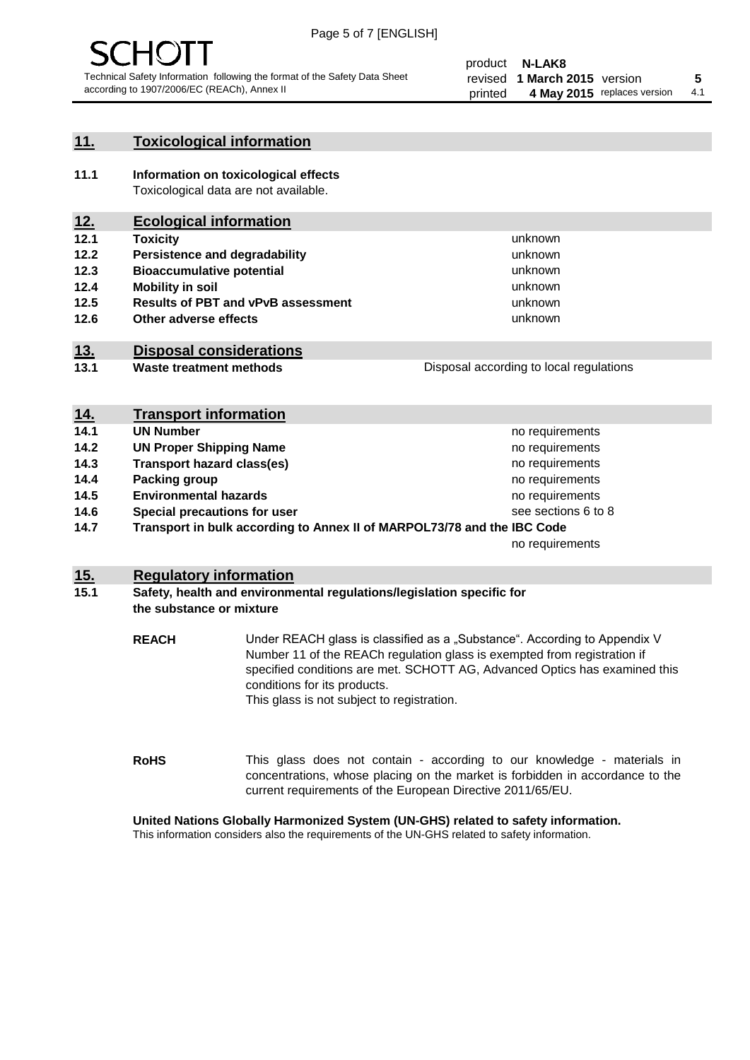

#### **11. Toxicological information**

**11.1 Information on toxicological effects** Toxicological data are not available.

### **12. Ecological information**

- **12.1 Toxicity**
- **12.2 Persistence and degradability**
- **12.3 Bioaccumulative potential**
- **12.4 Mobility in soil**
- **12.5 Results of PBT and vPvB assessment**
- **12.6 Other adverse effects**

#### **13. Disposal considerations**

**13.1 Waste treatment methods**

Disposal according to local regulations

unknown unknown unknown unknown

unknown unknown

| <u>14.</u> | <b>Transport information</b>                                            |                     |
|------------|-------------------------------------------------------------------------|---------------------|
| 14.1       | <b>UN Number</b>                                                        | no requirements     |
| 14.2       | <b>UN Proper Shipping Name</b>                                          | no requirements     |
| 14.3       | <b>Transport hazard class(es)</b>                                       | no requirements     |
| 14.4       | Packing group                                                           | no requirements     |
| 14.5       | <b>Environmental hazards</b>                                            | no requirements     |
| 14.6       | Special precautions for user                                            | see sections 6 to 8 |
| 14.7       | Transport in bulk according to Annex II of MARPOL73/78 and the IBC Code |                     |
|            |                                                                         | no requirements     |

#### **15. Regulatory information**

#### **15.1 Safety, health and environmental regulations/legislation specific for the substance or mixture**

**REACH** Under REACH glass is classified as a "Substance". According to Appendix V Number 11 of the REACh regulation glass is exempted from registration if specified conditions are met. SCHOTT AG, Advanced Optics has examined this conditions for its products. This glass is not subject to registration.

**RoHS** This glass does not contain - according to our knowledge - materials in concentrations, whose placing on the market is forbidden in accordance to the current requirements of the European Directive 2011/65/EU.

#### **United Nations Globally Harmonized System (UN-GHS) related to safety information.**

This information considers also the requirements of the UN-GHS related to safety information.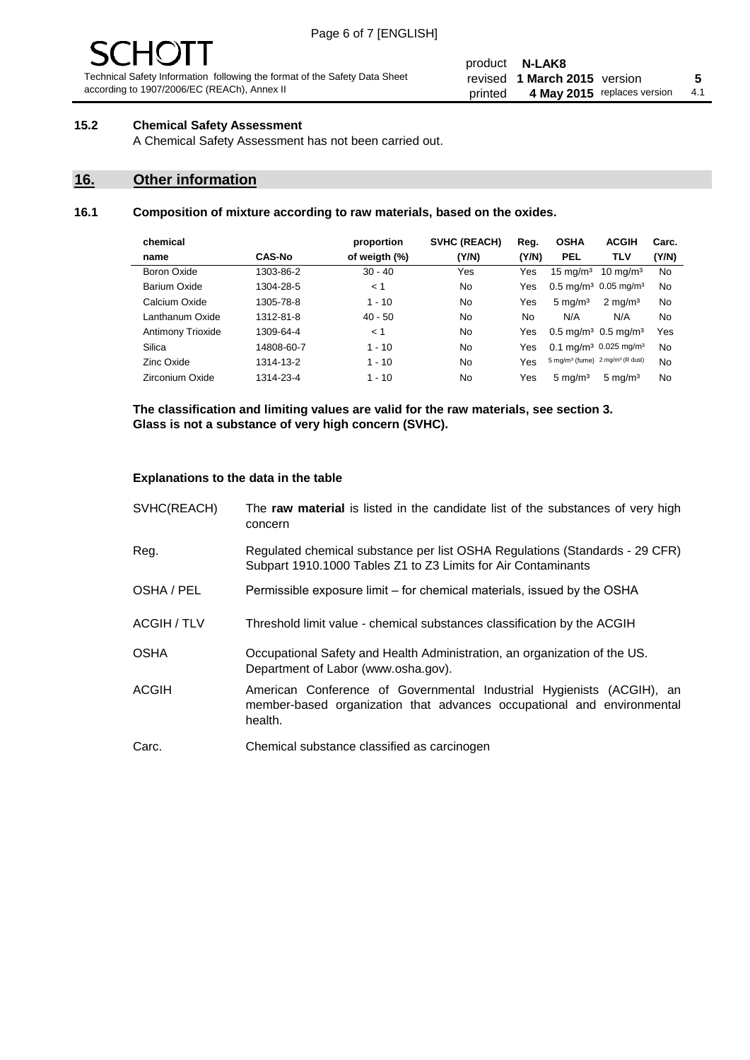# $\mathbf{H}$

Technical Safety Information following the format of the Safety Data Sheet according to 1907/2006/EC (REACh), Annex II

#### product **N-LAK8** revised **5 1 March 2015** version printed 4 May 2015 replaces version 4.1

#### **15.2 Chemical Safety Assessment**

A Chemical Safety Assessment has not been carried out.

#### **16. Other information**

#### **16.1 Composition of mixture according to raw materials, based on the oxides.**

| chemical          |               | proportion    | <b>SVHC (REACH)</b> | Reg.  | <b>OSHA</b>                                             | <b>ACGIH</b>        | Carc. |
|-------------------|---------------|---------------|---------------------|-------|---------------------------------------------------------|---------------------|-------|
| name              | <b>CAS-No</b> | of weigth (%) | (Y/N)               | (Y/N) | <b>PEL</b>                                              | TLV                 | (Y/N) |
| Boron Oxide       | 1303-86-2     | $30 - 40$     | Yes                 | Yes   | $15 \text{ mg/m}^3$                                     | $10 \text{ mg/m}^3$ | No    |
| Barium Oxide      | 1304-28-5     | < 1           | No                  | Yes   | $0.5 \text{ mg/m}^3$ 0.05 mg/m <sup>3</sup>             |                     | No    |
| Calcium Oxide     | 1305-78-8     | $1 - 10$      | No                  | Yes   | $5 \text{ mg/m}^3$                                      | $2 \text{ mg/m}^3$  | No    |
| Lanthanum Oxide   | 1312-81-8     | $40 - 50$     | No                  | No    | N/A                                                     | N/A                 | No    |
| Antimony Trioxide | 1309-64-4     | < 1           | No                  | Yes   | $0.5 \,\mathrm{mq/m^3}$ 0.5 mg/m <sup>3</sup>           |                     | Yes   |
| Silica            | 14808-60-7    | $1 - 10$      | No                  | Yes   | $0.1 \text{ mg/m}^3$ 0.025 mg/m <sup>3</sup>            |                     | No    |
| Zinc Oxide        | 1314-13-2     | $1 - 10$      | No                  | Yes   | 5 mg/m <sup>3</sup> (fume) 2 mg/m <sup>3</sup> (R dust) |                     | No    |
| Zirconium Oxide   | 1314-23-4     | $1 - 10$      | No                  | Yes   | $5 \text{ mg/m}^3$                                      | $5 \text{ mg/m}^3$  | No    |
|                   |               |               |                     |       |                                                         |                     |       |

**The classification and limiting values are valid for the raw materials, see section 3. Glass is not a substance of very high concern (SVHC).**

#### **Explanations to the data in the table**

| SVHC(REACH)        | The raw material is listed in the candidate list of the substances of very high<br>concern                                                                 |
|--------------------|------------------------------------------------------------------------------------------------------------------------------------------------------------|
| Reg.               | Regulated chemical substance per list OSHA Regulations (Standards - 29 CFR)<br>Subpart 1910.1000 Tables Z1 to Z3 Limits for Air Contaminants               |
| OSHA / PEL         | Permissible exposure limit – for chemical materials, issued by the OSHA                                                                                    |
| <b>ACGIH / TLV</b> | Threshold limit value - chemical substances classification by the ACGIH                                                                                    |
| <b>OSHA</b>        | Occupational Safety and Health Administration, an organization of the US.<br>Department of Labor (www.osha.gov).                                           |
| <b>ACGIH</b>       | American Conference of Governmental Industrial Hygienists (ACGIH), an<br>member-based organization that advances occupational and environmental<br>health. |
| Carc.              | Chemical substance classified as carcinogen                                                                                                                |